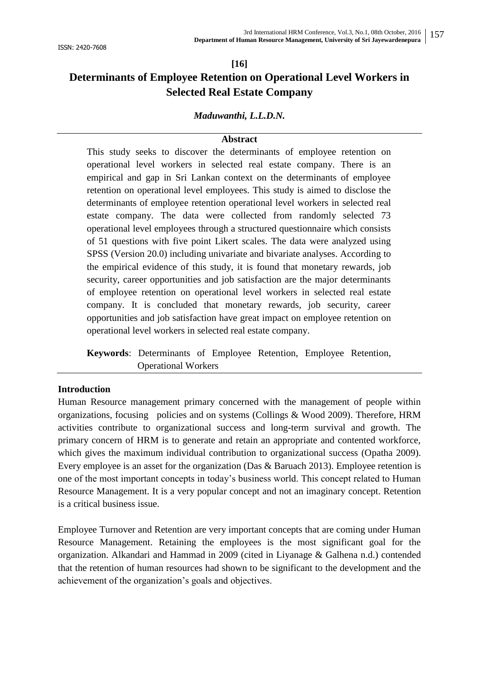# **[16] Determinants of Employee Retention on Operational Level Workers in Selected Real Estate Company**

# *Maduwanthi, L.L.D.N.*

# **Abstract**

This study seeks to discover the determinants of employee retention on operational level workers in selected real estate company. There is an empirical and gap in Sri Lankan context on the determinants of employee retention on operational level employees. This study is aimed to disclose the determinants of employee retention operational level workers in selected real estate company. The data were collected from randomly selected 73 operational level employees through a structured questionnaire which consists of 51 questions with five point Likert scales. The data were analyzed using SPSS (Version 20.0) including univariate and bivariate analyses. According to the empirical evidence of this study, it is found that monetary rewards, job security, career opportunities and job satisfaction are the major determinants of employee retention on operational level workers in selected real estate company. It is concluded that monetary rewards, job security, career opportunities and job satisfaction have great impact on employee retention on operational level workers in selected real estate company.

**Keywords**: Determinants of Employee Retention, Employee Retention, Operational Workers

#### **Introduction**

Human Resource management primary concerned with the management of people within organizations, focusing policies and on systems (Collings & Wood 2009). Therefore, HRM activities contribute to organizational success and long-term survival and growth. The primary concern of HRM is to generate and retain an appropriate and contented workforce, which gives the maximum individual contribution to organizational success (Opatha 2009). Every employee is an asset for the organization (Das & Baruach 2013). Employee retention is one of the most important concepts in today"s business world. This concept related to Human Resource Management. It is a very popular concept and not an imaginary concept. Retention is a critical business issue.

Employee Turnover and Retention are very important concepts that are coming under Human Resource Management. Retaining the employees is the most significant goal for the organization. Alkandari and Hammad in 2009 (cited in Liyanage & Galhena n.d.) contended that the retention of human resources had shown to be significant to the development and the achievement of the organization"s goals and objectives.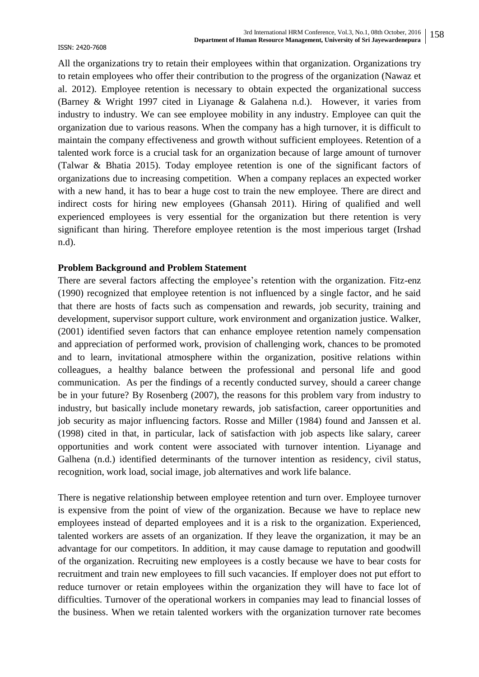All the organizations try to retain their employees within that organization. Organizations try to retain employees who offer their contribution to the progress of the organization (Nawaz et al. 2012). Employee retention is necessary to obtain expected the organizational success (Barney & Wright 1997 cited in Liyanage & Galahena n.d.). However, it varies from industry to industry. We can see employee mobility in any industry. Employee can quit the organization due to various reasons. When the company has a high turnover, it is difficult to maintain the company effectiveness and growth without sufficient employees. Retention of a talented work force is a crucial task for an organization because of large amount of turnover (Talwar & Bhatia 2015). Today employee retention is one of the significant factors of organizations due to increasing competition. When a company replaces an expected worker with a new hand, it has to bear a huge cost to train the new employee. There are direct and indirect costs for hiring new employees (Ghansah 2011). Hiring of qualified and well experienced employees is very essential for the organization but there retention is very significant than hiring. Therefore employee retention is the most imperious target (Irshad n.d).

#### **Problem Background and Problem Statement**

There are several factors affecting the employee's retention with the organization. Fitz-enz (1990) recognized that employee retention is not influenced by a single factor, and he said that there are hosts of facts such as compensation and rewards, job security, training and development, supervisor support culture, work environment and organization justice. Walker, (2001) identified seven factors that can enhance employee retention namely compensation and appreciation of performed work, provision of challenging work, chances to be promoted and to learn, invitational atmosphere within the organization, positive relations within colleagues, a healthy balance between the professional and personal life and good communication. As per the findings of a recently conducted survey, should a career change be in your future? By Rosenberg (2007), the reasons for this problem vary from industry to industry, but basically include monetary rewards, job satisfaction, career opportunities and job security as major influencing factors. Rosse and Miller (1984) found and Janssen et al. (1998) cited in that, in particular, lack of satisfaction with job aspects like salary, career opportunities and work content were associated with turnover intention. Liyanage and Galhena (n.d.) identified determinants of the turnover intention as residency, civil status, recognition, work load, social image, job alternatives and work life balance.

There is negative relationship between employee retention and turn over. Employee turnover is expensive from the point of view of the organization. Because we have to replace new employees instead of departed employees and it is a risk to the organization. Experienced, talented workers are assets of an organization. If they leave the organization, it may be an advantage for our competitors. In addition, it may cause damage to reputation and goodwill of the organization. Recruiting new employees is a costly because we have to bear costs for recruitment and train new employees to fill such vacancies. If employer does not put effort to reduce turnover or retain employees within the organization they will have to face lot of difficulties. Turnover of the operational workers in companies may lead to financial losses of the business. When we retain talented workers with the organization turnover rate becomes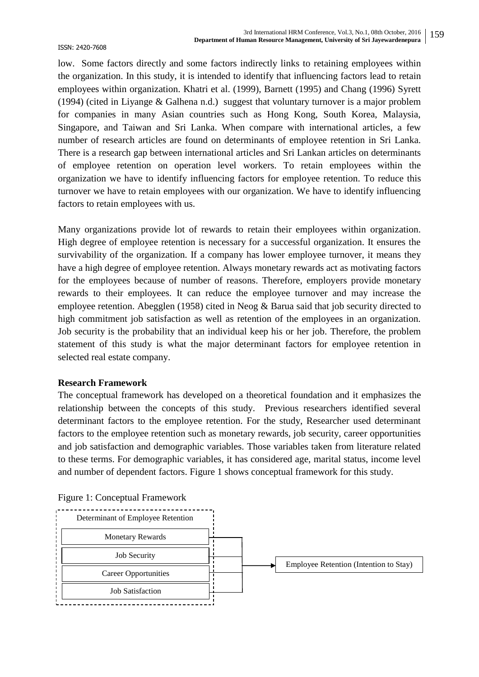low. Some factors directly and some factors indirectly links to retaining employees within the organization. In this study, it is intended to identify that influencing factors lead to retain employees within organization. Khatri et al. (1999), Barnett (1995) and Chang (1996) Syrett (1994) (cited in Liyange & Galhena n.d.) suggest that voluntary turnover is a major problem for companies in many Asian countries such as Hong Kong, South Korea, Malaysia, Singapore, and Taiwan and Sri Lanka. When compare with international articles, a few number of research articles are found on determinants of employee retention in Sri Lanka. There is a research gap between international articles and Sri Lankan articles on determinants of employee retention on operation level workers. To retain employees within the organization we have to identify influencing factors for employee retention. To reduce this turnover we have to retain employees with our organization. We have to identify influencing factors to retain employees with us.

Many organizations provide lot of rewards to retain their employees within organization. High degree of employee retention is necessary for a successful organization. It ensures the survivability of the organization. If a company has lower employee turnover, it means they have a high degree of employee retention. Always monetary rewards act as motivating factors for the employees because of number of reasons. Therefore, employers provide monetary rewards to their employees. It can reduce the employee turnover and may increase the employee retention. Abegglen (1958) cited in Neog & Barua said that job security directed to high commitment job satisfaction as well as retention of the employees in an organization. Job security is the probability that an individual keep his or her job. Therefore, the problem statement of this study is what the major determinant factors for employee retention in selected real estate company.

#### **Research Framework**

The conceptual framework has developed on a theoretical foundation and it emphasizes the relationship between the concepts of this study. Previous researchers identified several determinant factors to the employee retention. For the study, Researcher used determinant factors to the employee retention such as monetary rewards, job security, career opportunities and job satisfaction and demographic variables. Those variables taken from literature related to these terms. For demographic variables, it has considered age, marital status, income level and number of dependent factors. Figure 1 shows conceptual framework for this study.



Figure 1: Conceptual Framework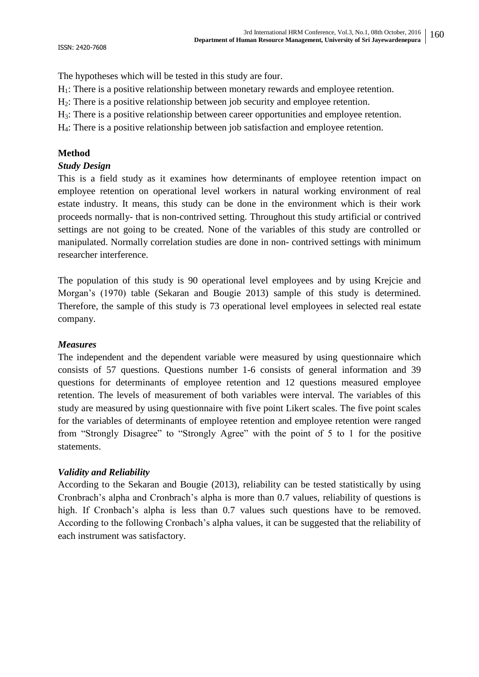ISSN: 2420-7608

The hypotheses which will be tested in this study are four.

- $H_1$ : There is a positive relationship between monetary rewards and employee retention.
- $H<sub>2</sub>$ : There is a positive relationship between job security and employee retention.
- H3: There is a positive relationship between career opportunities and employee retention.
- H4: There is a positive relationship between job satisfaction and employee retention.

## **Method**

#### *Study Design*

This is a field study as it examines how determinants of employee retention impact on employee retention on operational level workers in natural working environment of real estate industry. It means, this study can be done in the environment which is their work proceeds normally- that is non-contrived setting. Throughout this study artificial or contrived settings are not going to be created. None of the variables of this study are controlled or manipulated. Normally correlation studies are done in non- contrived settings with minimum researcher interference.

The population of this study is 90 operational level employees and by using Krejcie and Morgan"s (1970) table (Sekaran and Bougie 2013) sample of this study is determined. Therefore, the sample of this study is 73 operational level employees in selected real estate company.

#### *Measures*

The independent and the dependent variable were measured by using questionnaire which consists of 57 questions. Questions number 1-6 consists of general information and 39 questions for determinants of employee retention and 12 questions measured employee retention. The levels of measurement of both variables were interval. The variables of this study are measured by using questionnaire with five point Likert scales. The five point scales for the variables of determinants of employee retention and employee retention were ranged from "Strongly Disagree" to "Strongly Agree" with the point of 5 to 1 for the positive statements.

# *Validity and Reliability*

According to the Sekaran and Bougie (2013), reliability can be tested statistically by using Cronbrach"s alpha and Cronbrach"s alpha is more than 0.7 values, reliability of questions is high. If Cronbach's alpha is less than 0.7 values such questions have to be removed. According to the following Cronbach"s alpha values, it can be suggested that the reliability of each instrument was satisfactory.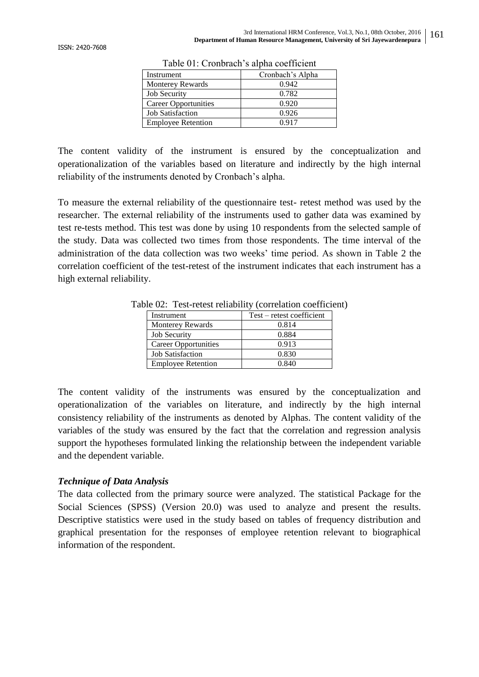| Twore off. Cronolwell 5 alpha coefficient |                  |  |  |  |
|-------------------------------------------|------------------|--|--|--|
| Instrument                                | Cronbach's Alpha |  |  |  |
| <b>Monterey Rewards</b>                   | 0.942            |  |  |  |
| <b>Job Security</b>                       | 0.782            |  |  |  |
| <b>Career Opportunities</b>               | 0.920            |  |  |  |
| <b>Job Satisfaction</b>                   | 0.926            |  |  |  |
| <b>Employee Retention</b>                 | 0.917            |  |  |  |

Table 01: Cronbrach's alpha coefficient

The content validity of the instrument is ensured by the conceptualization and operationalization of the variables based on literature and indirectly by the high internal reliability of the instruments denoted by Cronbach"s alpha.

To measure the external reliability of the questionnaire test- retest method was used by the researcher. The external reliability of the instruments used to gather data was examined by test re-tests method. This test was done by using 10 respondents from the selected sample of the study. Data was collected two times from those respondents. The time interval of the administration of the data collection was two weeks" time period. As shown in Table 2 the correlation coefficient of the test-retest of the instrument indicates that each instrument has a high external reliability.

| Instrument                  | Test – retest coefficient |  |  |
|-----------------------------|---------------------------|--|--|
| <b>Monterey Rewards</b>     | 0.814                     |  |  |
| <b>Job Security</b>         | 0.884                     |  |  |
| <b>Career Opportunities</b> | 0.913                     |  |  |
| <b>Job Satisfaction</b>     | 0.830                     |  |  |
| <b>Employee Retention</b>   | 0.840                     |  |  |

Table 02: Test-retest reliability (correlation coefficient)

The content validity of the instruments was ensured by the conceptualization and operationalization of the variables on literature, and indirectly by the high internal consistency reliability of the instruments as denoted by Alphas. The content validity of the variables of the study was ensured by the fact that the correlation and regression analysis support the hypotheses formulated linking the relationship between the independent variable and the dependent variable.

#### *Technique of Data Analysis*

The data collected from the primary source were analyzed. The statistical Package for the Social Sciences (SPSS) (Version 20.0) was used to analyze and present the results. Descriptive statistics were used in the study based on tables of frequency distribution and graphical presentation for the responses of employee retention relevant to biographical information of the respondent.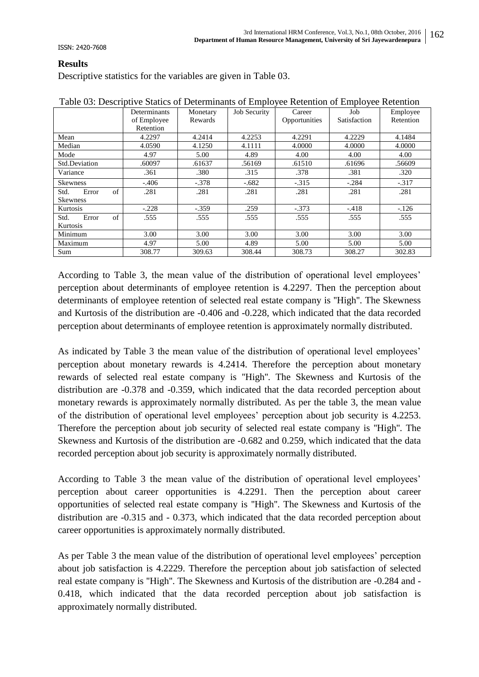ISSN: 2420-7608

# **Results**

Descriptive statistics for the variables are given in Table 03.

|                     | Determinants | Monetary | <b>Job Security</b> | Career        | Job          | Employee  |
|---------------------|--------------|----------|---------------------|---------------|--------------|-----------|
|                     | of Employee  | Rewards  |                     | Opportunities | Satisfaction | Retention |
|                     | Retention    |          |                     |               |              |           |
| Mean                | 4.2297       | 4.2414   | 4.2253              | 4.2291        | 4.2229       | 4.1484    |
| Median              | 4.0590       | 4.1250   | 4.1111              | 4.0000        | 4.0000       | 4.0000    |
| Mode                | 4.97         | 5.00     | 4.89                | 4.00          | 4.00         | 4.00      |
| Std.Deviation       | .60097       | .61637   | .56169              | .61510        | .61696       | .56609    |
| Variance            | .361         | .380     | .315                | .378          | .381         | .320      |
| <b>Skewness</b>     | $-.406$      | $-.378$  | $-.682$             | $-.315$       | $-.284$      | $-.317$   |
| of<br>Std.<br>Error | .281         | .281     | .281                | .281          | .281         | .281      |
| <b>Skewness</b>     |              |          |                     |               |              |           |
| Kurtosis            | $-.228$      | $-.359$  | .259                | $-.373$       | $-.418$      | $-126$    |
| of<br>Std.<br>Error | .555         | .555     | .555                | .555          | .555         | .555      |
| Kurtosis            |              |          |                     |               |              |           |
| Minimum             | 3.00         | 3.00     | 3.00                | 3.00          | 3.00         | 3.00      |
| Maximum             | 4.97         | 5.00     | 4.89                | 5.00          | 5.00         | 5.00      |
| Sum                 | 308.77       | 309.63   | 308.44              | 308.73        | 308.27       | 302.83    |

Table 03: Descriptive Statics of Determinants of Employee Retention of Employee Retention

According to Table 3, the mean value of the distribution of operational level employees' perception about determinants of employee retention is 4.2297. Then the perception about determinants of employee retention of selected real estate company is ''High''. The Skewness and Kurtosis of the distribution are -0.406 and -0.228, which indicated that the data recorded perception about determinants of employee retention is approximately normally distributed.

As indicated by Table 3 the mean value of the distribution of operational level employees' perception about monetary rewards is 4.2414. Therefore the perception about monetary rewards of selected real estate company is ''High''. The Skewness and Kurtosis of the distribution are -0.378 and -0.359, which indicated that the data recorded perception about monetary rewards is approximately normally distributed. As per the table 3, the mean value of the distribution of operational level employees" perception about job security is 4.2253. Therefore the perception about job security of selected real estate company is ''High''. The Skewness and Kurtosis of the distribution are -0.682 and 0.259, which indicated that the data recorded perception about job security is approximately normally distributed.

According to Table 3 the mean value of the distribution of operational level employees' perception about career opportunities is 4.2291. Then the perception about career opportunities of selected real estate company is ''High''. The Skewness and Kurtosis of the distribution are -0.315 and - 0.373, which indicated that the data recorded perception about career opportunities is approximately normally distributed.

As per Table 3 the mean value of the distribution of operational level employees' perception about job satisfaction is 4.2229. Therefore the perception about job satisfaction of selected real estate company is ''High''. The Skewness and Kurtosis of the distribution are -0.284 and - 0.418, which indicated that the data recorded perception about job satisfaction is approximately normally distributed.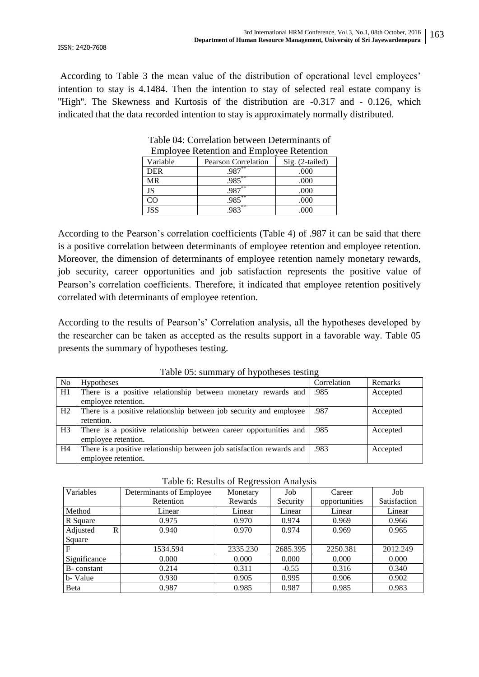According to Table 3 the mean value of the distribution of operational level employees' intention to stay is 4.1484. Then the intention to stay of selected real estate company is "High". The Skewness and Kurtosis of the distribution are -0.317 and - 0.126, which indicated that the data recorded intention to stay is approximately normally distributed.

| Employee Retention and Employee Retention |                                  |  |  |  |  |
|-------------------------------------------|----------------------------------|--|--|--|--|
| <b>Pearson Correlation</b>                | Sig. (2-tailed)                  |  |  |  |  |
|                                           | .000                             |  |  |  |  |
| **<br>985                                 | .000                             |  |  |  |  |
| 987                                       | .000                             |  |  |  |  |
| **<br>.985                                | .000                             |  |  |  |  |
|                                           |                                  |  |  |  |  |
|                                           | $987***$<br>-**<br>$98^{2^{**}}$ |  |  |  |  |

Table 04: Correlation between Determinants of Employee Retention and Employee Retention

According to the Pearson"s correlation coefficients (Table 4) of .987 it can be said that there is a positive correlation between determinants of employee retention and employee retention. Moreover, the dimension of determinants of employee retention namely monetary rewards, job security, career opportunities and job satisfaction represents the positive value of Pearson"s correlation coefficients. Therefore, it indicated that employee retention positively correlated with determinants of employee retention.

According to the results of Pearson"s" Correlation analysis, all the hypotheses developed by the researcher can be taken as accepted as the results support in a favorable way. Table 05 presents the summary of hypotheses testing.

| raore ob. summary or hypotheses testing |                                                                       |             |          |  |  |  |
|-----------------------------------------|-----------------------------------------------------------------------|-------------|----------|--|--|--|
| No                                      | <b>Hypotheses</b>                                                     | Correlation | Remarks  |  |  |  |
| H1                                      | There is a positive relationship between monetary rewards and         | .985        | Accepted |  |  |  |
|                                         | employee retention.                                                   |             |          |  |  |  |
| H2                                      | There is a positive relationship between job security and employee    | .987        | Accepted |  |  |  |
|                                         | retention.                                                            |             |          |  |  |  |
| H <sub>3</sub>                          | There is a positive relationship between career opportunities and     | .985        | Accepted |  |  |  |
|                                         | employee retention.                                                   |             |          |  |  |  |
| H <sub>4</sub>                          | There is a positive relationship between job satisfaction rewards and | .983        | Accepted |  |  |  |
|                                         | employee retention.                                                   |             |          |  |  |  |

Table 05: summary of hypotheses testing

|  | Table 6: Results of Regression Analysis |  |
|--|-----------------------------------------|--|
|  |                                         |  |

|               |                          | ັ        |          |               |              |
|---------------|--------------------------|----------|----------|---------------|--------------|
| Variables     | Determinants of Employee | Monetary | Job      | Career        | Job          |
|               | Retention                | Rewards  | Security | opportunities | Satisfaction |
| Method        | Linear                   | Linear   | Linear   | Linear        | Linear       |
| R Square      | 0.975                    | 0.970    | 0.974    | 0.969         | 0.966        |
| Adjusted<br>R | 0.940                    | 0.970    | 0.974    | 0.969         | 0.965        |
| Square        |                          |          |          |               |              |
| $\mathbf F$   | 1534.594                 | 2335.230 | 2685.395 | 2250.381      | 2012.249     |
| Significance  | 0.000                    | 0.000    | 0.000    | 0.000         | 0.000        |
| B-constant    | 0.214                    | 0.311    | $-0.55$  | 0.316         | 0.340        |
| b-Value       | 0.930                    | 0.905    | 0.995    | 0.906         | 0.902        |
| Beta          | 0.987                    | 0.985    | 0.987    | 0.985         | 0.983        |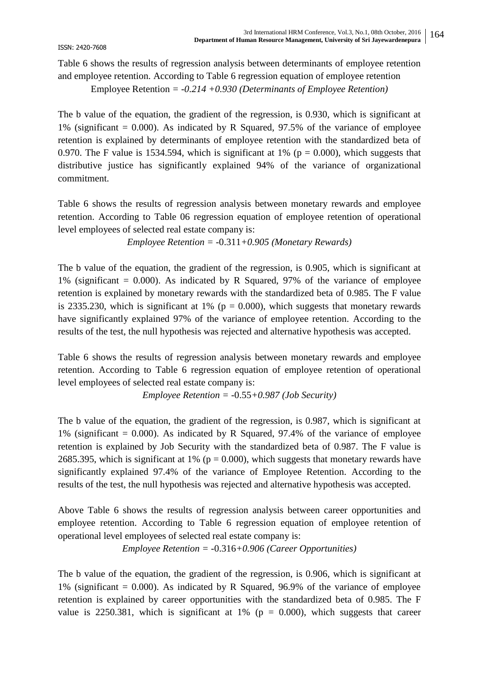ISSN: 2420-7608

Table 6 shows the results of regression analysis between determinants of employee retention and employee retention. According to Table 6 regression equation of employee retention

Employee Retention *= -0.214 +0.930 (Determinants of Employee Retention)*

The b value of the equation, the gradient of the regression, is 0.930, which is significant at 1% (significant  $= 0.000$ ). As indicated by R Squared, 97.5% of the variance of employee retention is explained by determinants of employee retention with the standardized beta of 0.970. The F value is 1534.594, which is significant at 1% ( $p = 0.000$ ), which suggests that distributive justice has significantly explained 94% of the variance of organizational commitment.

Table 6 shows the results of regression analysis between monetary rewards and employee retention. According to Table 06 regression equation of employee retention of operational level employees of selected real estate company is:

*Employee Retention = -*0.311*+0.905 (Monetary Rewards)*

The b value of the equation, the gradient of the regression, is 0.905, which is significant at 1% (significant  $= 0.000$ ). As indicated by R Squared, 97% of the variance of employee retention is explained by monetary rewards with the standardized beta of 0.985. The F value is 2335.230, which is significant at 1% ( $p = 0.000$ ), which suggests that monetary rewards have significantly explained 97% of the variance of employee retention. According to the results of the test, the null hypothesis was rejected and alternative hypothesis was accepted.

Table 6 shows the results of regression analysis between monetary rewards and employee retention. According to Table 6 regression equation of employee retention of operational level employees of selected real estate company is:

*Employee Retention = -*0.55*+0.987 (Job Security)*

The b value of the equation, the gradient of the regression, is 0.987, which is significant at 1% (significant  $= 0.000$ ). As indicated by R Squared, 97.4% of the variance of employee retention is explained by Job Security with the standardized beta of 0.987. The F value is 2685.395, which is significant at 1% ( $p = 0.000$ ), which suggests that monetary rewards have significantly explained 97.4% of the variance of Employee Retention. According to the results of the test, the null hypothesis was rejected and alternative hypothesis was accepted.

Above Table 6 shows the results of regression analysis between career opportunities and employee retention. According to Table 6 regression equation of employee retention of operational level employees of selected real estate company is:

*Employee Retention = -*0.316*+0.906 (Career Opportunities)*

The b value of the equation, the gradient of the regression, is 0.906, which is significant at 1% (significant  $= 0.000$ ). As indicated by R Squared, 96.9% of the variance of employee retention is explained by career opportunities with the standardized beta of 0.985. The F value is 2250.381, which is significant at 1% ( $p = 0.000$ ), which suggests that career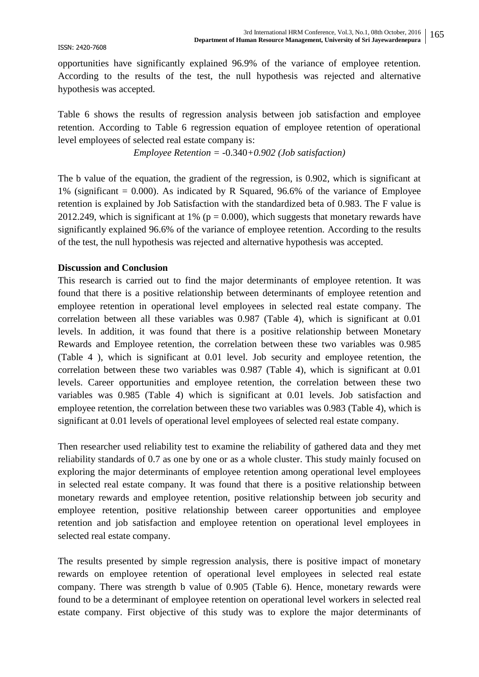opportunities have significantly explained 96.9% of the variance of employee retention. According to the results of the test, the null hypothesis was rejected and alternative hypothesis was accepted.

Table 6 shows the results of regression analysis between job satisfaction and employee retention. According to Table 6 regression equation of employee retention of operational level employees of selected real estate company is:

*Employee Retention = -*0.340*+0.902 (Job satisfaction)*

The b value of the equation, the gradient of the regression, is 0.902, which is significant at 1% (significant  $= 0.000$ ). As indicated by R Squared, 96.6% of the variance of Employee retention is explained by Job Satisfaction with the standardized beta of 0.983. The F value is 2012.249, which is significant at 1% ( $p = 0.000$ ), which suggests that monetary rewards have significantly explained 96.6% of the variance of employee retention. According to the results of the test, the null hypothesis was rejected and alternative hypothesis was accepted.

#### **Discussion and Conclusion**

This research is carried out to find the major determinants of employee retention. It was found that there is a positive relationship between determinants of employee retention and employee retention in operational level employees in selected real estate company. The correlation between all these variables was 0.987 (Table 4), which is significant at 0.01 levels. In addition, it was found that there is a positive relationship between Monetary Rewards and Employee retention, the correlation between these two variables was 0.985 (Table 4 ), which is significant at 0.01 level. Job security and employee retention, the correlation between these two variables was 0.987 (Table 4), which is significant at 0.01 levels. Career opportunities and employee retention, the correlation between these two variables was 0.985 (Table 4) which is significant at 0.01 levels. Job satisfaction and employee retention, the correlation between these two variables was 0.983 (Table 4), which is significant at 0.01 levels of operational level employees of selected real estate company.

Then researcher used reliability test to examine the reliability of gathered data and they met reliability standards of 0.7 as one by one or as a whole cluster. This study mainly focused on exploring the major determinants of employee retention among operational level employees in selected real estate company. It was found that there is a positive relationship between monetary rewards and employee retention, positive relationship between job security and employee retention, positive relationship between career opportunities and employee retention and job satisfaction and employee retention on operational level employees in selected real estate company.

The results presented by simple regression analysis, there is positive impact of monetary rewards on employee retention of operational level employees in selected real estate company. There was strength b value of 0.905 (Table 6). Hence, monetary rewards were found to be a determinant of employee retention on operational level workers in selected real estate company. First objective of this study was to explore the major determinants of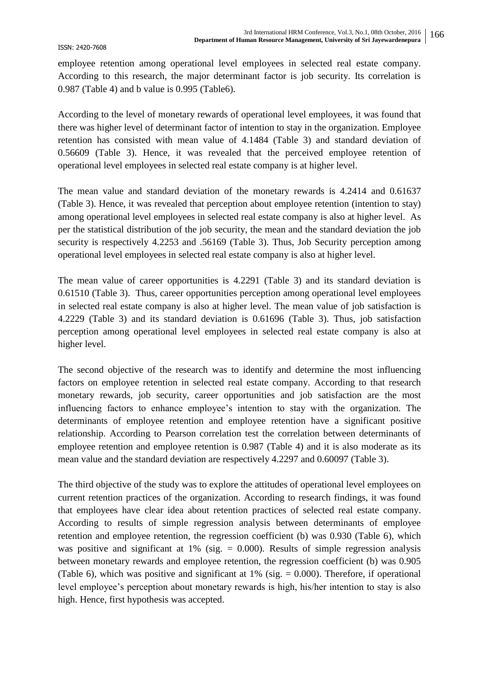employee retention among operational level employees in selected real estate company. According to this research, the major determinant factor is job security. Its correlation is 0.987 (Table 4) and b value is 0.995 (Table6).

According to the level of monetary rewards of operational level employees, it was found that there was higher level of determinant factor of intention to stay in the organization. Employee retention has consisted with mean value of 4.1484 (Table 3) and standard deviation of 0.56609 (Table 3). Hence, it was revealed that the perceived employee retention of operational level employees in selected real estate company is at higher level.

The mean value and standard deviation of the monetary rewards is 4.2414 and 0.61637 (Table 3). Hence, it was revealed that perception about employee retention (intention to stay) among operational level employees in selected real estate company is also at higher level. As per the statistical distribution of the job security, the mean and the standard deviation the job security is respectively 4.2253 and .56169 (Table 3). Thus, Job Security perception among operational level employees in selected real estate company is also at higher level.

The mean value of career opportunities is 4.2291 (Table 3) and its standard deviation is 0.61510 (Table 3). Thus, career opportunities perception among operational level employees in selected real estate company is also at higher level. The mean value of job satisfaction is 4.2229 (Table 3) and its standard deviation is 0.61696 (Table 3). Thus, job satisfaction perception among operational level employees in selected real estate company is also at higher level.

The second objective of the research was to identify and determine the most influencing factors on employee retention in selected real estate company. According to that research monetary rewards, job security, career opportunities and job satisfaction are the most influencing factors to enhance employee's intention to stay with the organization. The determinants of employee retention and employee retention have a significant positive relationship. According to Pearson correlation test the correlation between determinants of employee retention and employee retention is 0.987 (Table 4) and it is also moderate as its mean value and the standard deviation are respectively 4.2297 and 0.60097 (Table 3).

The third objective of the study was to explore the attitudes of operational level employees on current retention practices of the organization. According to research findings, it was found that employees have clear idea about retention practices of selected real estate company. According to results of simple regression analysis between determinants of employee retention and employee retention, the regression coefficient (b) was 0.930 (Table 6), which was positive and significant at 1% (sig.  $= 0.000$ ). Results of simple regression analysis between monetary rewards and employee retention, the regression coefficient (b) was 0.905 (Table 6), which was positive and significant at  $1\%$  (sig. = 0.000). Therefore, if operational level employee's perception about monetary rewards is high, his/her intention to stay is also high. Hence, first hypothesis was accepted.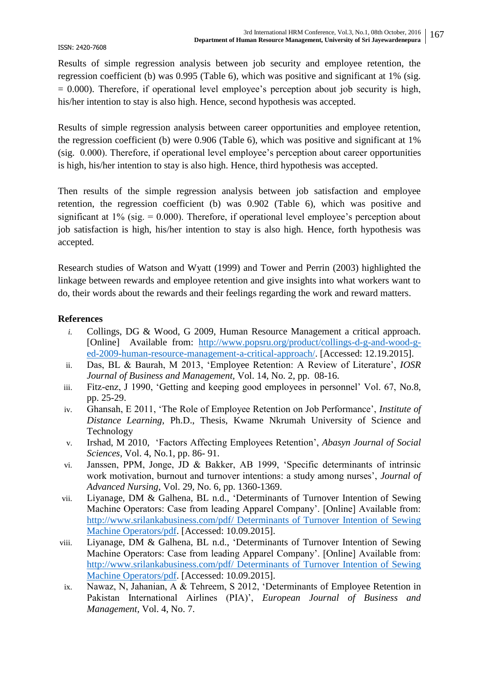Results of simple regression analysis between job security and employee retention, the regression coefficient (b) was 0.995 (Table 6), which was positive and significant at 1% (sig.  $= 0.000$ ). Therefore, if operational level employee's perception about job security is high, his/her intention to stay is also high. Hence, second hypothesis was accepted.

Results of simple regression analysis between career opportunities and employee retention, the regression coefficient (b) were 0.906 (Table 6), which was positive and significant at 1% (sig. 0.000). Therefore, if operational level employee's perception about career opportunities is high, his/her intention to stay is also high. Hence, third hypothesis was accepted.

Then results of the simple regression analysis between job satisfaction and employee retention, the regression coefficient (b) was 0.902 (Table 6), which was positive and significant at  $1\%$  (sig. = 0.000). Therefore, if operational level employee's perception about job satisfaction is high, his/her intention to stay is also high. Hence, forth hypothesis was accepted.

Research studies of Watson and Wyatt (1999) and Tower and Perrin (2003) highlighted the linkage between rewards and employee retention and give insights into what workers want to do, their words about the rewards and their feelings regarding the work and reward matters.

# **References**

- *i.* Collings, DG & Wood, G 2009, Human Resource Management a critical approach. [Online] Available from: [http://www.popsru.org/product/collings-d-g-and-wood-g](http://www.popsru.org/product/collings-d-g-and-wood-g-ed-2009-human-resource-management-a-critical-approach/)[ed-2009-human-resource-management-a-critical-approach/.](http://www.popsru.org/product/collings-d-g-and-wood-g-ed-2009-human-resource-management-a-critical-approach/) [Accessed: 12.19.2015].
- ii. Das, BL & Baurah, M 2013, "Employee Retention: A Review of Literature", *IOSR Journal of Business and Management,* Vol. 14, No. 2, pp. 08-16.
- iii. Fitz-enz, J 1990, "Getting and keeping good employees in personnel" Vol. 67, No.8, pp. 25-29.
- iv. Ghansah, E 2011, "The Role of Employee Retention on Job Performance", *Institute of Distance Learning,* Ph.D., Thesis, Kwame Nkrumah University of Science and Technology
- v. Irshad, M 2010, "Factors Affecting Employees Retention", *Abasyn Journal of Social Sciences,* Vol. 4, No.1, pp. 86- 91.
- vi. Janssen, PPM, Jonge, JD & Bakker, AB 1999, "Specific determinants of intrinsic work motivation, burnout and turnover intentions: a study among nurses', *Journal of Advanced Nursing*, Vol. 29, No. 6, pp. 1360-1369.
- vii. Liyanage, DM & Galhena, BL n.d., "Determinants of Turnover Intention of Sewing Machine Operators: Case from leading Apparel Company'. [Online] Available from: [http://www.srilankabusiness.com/pdf/ Determinants of Turnover Intention of Sewing](http://www.srilankabusiness.com/pdf/%20Determinants%20of%20Turnover%20Intention%20of%20Sewing%20Machine%20Operators/pdf)  [Machine Operators/pdf.](http://www.srilankabusiness.com/pdf/%20Determinants%20of%20Turnover%20Intention%20of%20Sewing%20Machine%20Operators/pdf) [Accessed: 10.09.2015].
- viii. Liyanage, DM & Galhena, BL n.d., "Determinants of Turnover Intention of Sewing Machine Operators: Case from leading Apparel Company'. [Online] Available from: [http://www.srilankabusiness.com/pdf/ Determinants of Turnover Intention of Sewing](http://www.srilankabusiness.com/pdf/%20Determinants%20of%20Turnover%20Intention%20of%20Sewing%20Machine%20Operators/pdf)  [Machine Operators/pdf.](http://www.srilankabusiness.com/pdf/%20Determinants%20of%20Turnover%20Intention%20of%20Sewing%20Machine%20Operators/pdf) [Accessed: 10.09.2015].
- ix. Nawaz, N, Jahanian, A & Tehreem, S 2012, "Determinants of Employee Retention in Pakistan International Airlines (PIA)", *European Journal of Business and Management,* Vol. 4, No. 7.